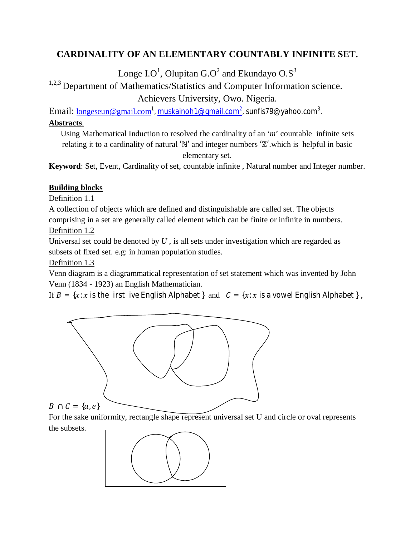# **CARDINALITY OF AN ELEMENTARY COUNTABLY INFINITE SET.**

Longe I.O $^1$ , Olupitan G.O $^2$  and Ekundayo O.S $^3$ 

# <sup>1,2,3</sup> Department of Mathematics/Statistics and Computer Information science.

Achievers University, Owo. Nigeria.

 $\rm{Email:}\ \underline{\rm longeseun@gmail.com}^1$ ,  $\rm{muskainoh1@gmail.com^2}$ , sunfis79@yahoo.com $^3.$ 

# **Abstracts**.

Using Mathematical Induction to resolved the cardinality of an '*m*' countable infinite sets relating it to a cardinality of natural ′ℕ′ and integer numbers ′ℤ′.which is helpful in basic elementary set.

**Keyword**: Set, Event, Cardinality of set, countable infinite , Natural number and Integer number.

# **Building blocks**

Definition 1.1

A collection of objects which are defined and distinguishable are called set. The objects comprising in a set are generally called element which can be finite or infinite in numbers. Definition 1.2

Universal set could be denoted by *U* , is all sets under investigation which are regarded as subsets of fixed set. e.g: in human population studies.

Definition 1.3

Venn diagram is a diagrammatical representation of set statement which was invented by John Venn (1834 - 1923) an English Mathematician.

If  $B = \{x : x$  is the irst ive English Alphabet } and  $C = \{x : x$  is a vowel English Alphabet },



For the sake uniformity, rectangle shape represent universal set U and circle or oval represents the subsets.

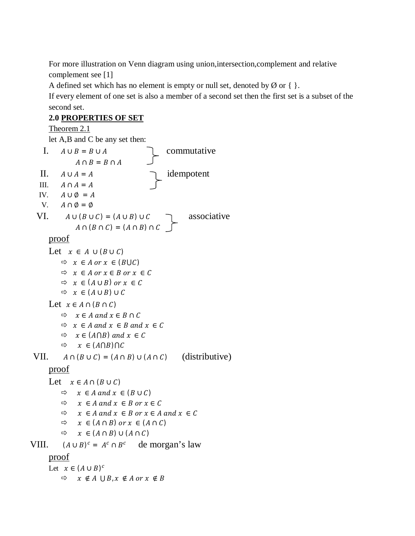For more illustration on Venn diagram using union,intersection,complement and relative complement see [1]

A defined set which has no element is empty or null set, denoted by  $\emptyset$  or { }.

If every element of one set is also a member of a second set then the first set is a subset of the second set.

# **2.0 PROPERTIES OF SET**

Theorem 2.1 let A,B and C be any set then: I.  $A \cup B = B \cup A$  commutative  $A \cap B = B \cap A$ II.  $A \cup A = A$  idempotent III.  $A \cap A = A$ IV.  $A \cup \emptyset = A$ V.  $A \cap \emptyset = \emptyset$ VI.  $A \cup (B \cup C) = (A \cup B) \cup C$  . associative  $A \cap (B \cap C) = (A \cap B) \cap C$ proof Let  $x \in A \cup (B \cup C)$  $Arr x \in A$  or  $x \in (B \cup C)$  $Arr x \in A$  or  $x \in B$  or  $x \in C$  $\Leftrightarrow x \in (A \cup B)$  or  $x \in C$  $\Rightarrow x \in (A \cup B) \cup C$ Let  $x \in A \cap (B \cap C)$  $\Rightarrow x \in A$  and  $x \in B \cap C$  $Arr x \in A$  and  $x \in B$  and  $x \in C$  $Arr x \in (A \cap B)$  and  $x \in C$  $\Rightarrow x \in (A \cap B) \cap C$ VII.  $A \cap (B \cup C) = (A \cap B) \cup (A \cap C)$  (distributive) proof Let  $x \in A \cap (B \cup C)$  $ightharpoonup$   $x \in A$  and  $x \in (B \cup C)$  $Arr x \in A$  and  $x \in B$  or  $x \in C$  $\Leftrightarrow$   $x \in A$  and  $x \in B$  or  $x \in A$  and  $x \in C$  $\Rightarrow x \in (A \cap B)$  or  $x \in (A \cap C)$  $\Rightarrow x \in (A \cap B) \cup (A \cap C)$ VIII.  $(A \cup B)^c = A^c \cap B^c$  de morgan's law proof Let  $x \in (A \cup B)^c$  $\Rightarrow x \notin A \cup B, x \notin A \text{ or } x \notin B$ ا<br>آ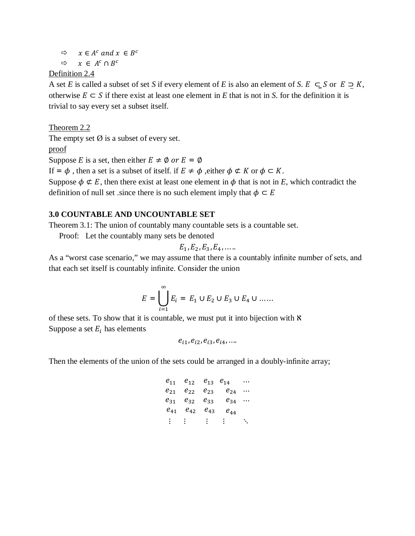$Arr x \in A^c$  and  $x \in B^c$  $\Leftrightarrow$   $x \in A^c \cap B^c$ 

### Definition 2.4

A set *E* is called a subset of set *S* if every element of *E* is also an element of *S*.  $E \subseteq S$  or  $E \supseteq K$ , otherwise  $E \subset S$  if there exist at least one element in *E* that is not in *S*. for the definition it is trivial to say every set a subset itself.

Theorem 2.2

The empty set  $\emptyset$  is a subset of every set.

proof

Suppose *E* is a set, then either  $E \neq \emptyset$  or  $E = \emptyset$ 

If =  $\phi$ , then a set is a subset of itself. if  $E \neq \phi$ , either  $\phi \not\subset K$  or  $\phi \subset K$ .

Suppose  $\phi \notin E$ , then there exist at least one element in  $\phi$  that is not in *E*, which contradict the definition of null set .since there is no such element imply that  $\phi \subset E$ 

### **3.0 COUNTABLE AND UNCOUNTABLE SET**

Theorem 3.1: The union of countably many countable sets is a countable set.

Proof: Let the countably many sets be denoted

$$
E_1, E_2, E_3, E_4, \ldots.
$$

As a "worst case scenario," we may assume that there is a countably infinite number of sets, and that each set itself is countably infinite. Consider the union

$$
E = \bigcup_{i=1}^{\infty} E_i = E_1 \cup E_2 \cup E_3 \cup E_4 \cup \dots
$$

of these sets. To show that it is countable, we must put it into bijection with  $\aleph$ Suppose a set  $E_i$  has elements

 $e_{i1}, e_{i2}, e_{i3}, e_{i4}, ...$ 

Then the elements of the union of the sets could be arranged in a doubly-infinite array;

$$
\begin{array}{ccccccccc}\n e_{11} & e_{12} & e_{13} & e_{14} & \cdots \\
e_{21} & e_{22} & e_{23} & e_{24} & \cdots \\
e_{31} & e_{32} & e_{33} & e_{34} & \cdots \\
e_{41} & e_{42} & e_{43} & e_{44} & \vdots & \vdots & \vdots & \vdots & \ddots\n\end{array}
$$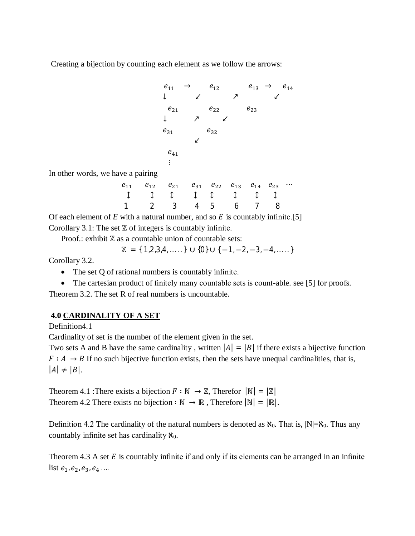Creating a bijection by counting each element as we follow the arrows:

$$
e_{11} \rightarrow e_{12} \qquad e_{13} \rightarrow e_{14}
$$
\n
$$
\downarrow \qquad \qquad \swarrow \qquad \nearrow \qquad \swarrow
$$
\n
$$
e_{21} \qquad e_{22} \qquad e_{23}
$$
\n
$$
\downarrow \qquad \nearrow \qquad \swarrow
$$
\n
$$
e_{31} \qquad e_{32}
$$
\n
$$
\swarrow
$$
\n
$$
e_{41}
$$
\n
$$
\vdots
$$

In other words, we have a pairing

| $e_{11}$ $e_{12}$ $e_{21}$ $e_{31}$ $e_{22}$ $e_{13}$ $e_{14}$ $e_{23}$ |  |  |  |  |
|-------------------------------------------------------------------------|--|--|--|--|
|                                                                         |  |  |  |  |
| 1 2 3 4 5 6 7 8                                                         |  |  |  |  |

Of each element of  $E$  with a natural number, and so  $E$  is countably infinite.[5] Corollary 3.1: The set ℤ of integers is countably infinite.

Proof.: exhibit ℤ as a countable union of countable sets:

$$
\mathbb{Z} = \{ 1, 2, 3, 4, \ldots \} \cup \{0\} \cup \{-1, -2, -3, -4, \ldots \}
$$

Corollary 3.2.

- The set Q of rational numbers is countably infinite.
- The cartesian product of finitely many countable sets is count-able. see [5] for proofs.

Theorem 3.2. The set R of real numbers is uncountable.

## **4.0 CARDINALITY OF A SET**

Definition4.1

Cardinality of set is the number of the element given in the set.

Two sets A and B have the same cardinality, written  $|A| = |B|$  if there exists a bijective function  $F : A \rightarrow B$  If no such bijective function exists, then the sets have unequal cardinalities, that is,  $|A| \neq |B|$ .

Theorem 4.1 :There exists a bijection  $F : \mathbb{N} \to \mathbb{Z}$ , Therefor  $|\mathbb{N}| = |\mathbb{Z}|$ Theorem 4.2 There exists no bijection :  $\mathbb{N} \to \mathbb{R}$ , Therefore  $|\mathbb{N}| = |\mathbb{R}|$ .

Definition 4.2 The cardinality of the natural numbers is denoted as  $\aleph_0$ . That is,  $|N| = \aleph_0$ . Thus any countably infinite set has cardinality  $\aleph_0$ .

Theorem 4.3 A set  $E$  is countably infinite if and only if its elements can be arranged in an infinite list  $e_1, e_2, e_3, e_4$  ...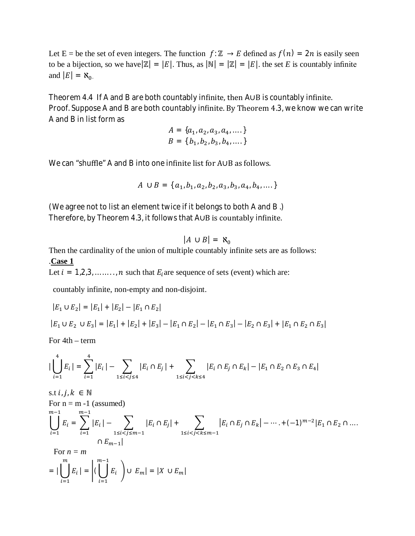Let E = be the set of even integers. The function  $f: \mathbb{Z} \to E$  defined as  $f(n) = 2n$  is easily seen to be a bijection, so we have  $|\mathbb{Z}| = |E|$ . Thus, as  $|\mathbb{N}| = |\mathbb{Z}| = |E|$ . the set *E* is countably infinite and  $|E| = \aleph_0$ .

Theorem 4.4 If A and B are both countably infinite, then A∪B is countably infinite. Proof. Suppose A and B are both countably infinite. By Theorem 4.3, we know we can write A and B in list form as

$$
A = \{a_1, a_2, a_3, a_4, \dots\}
$$
  

$$
B = \{b_1, b_2, b_3, b_4, \dots\}
$$

We can "shuffle" A and B into one infinite list for A∪B as follows.

$$
A \cup B = \{ a_1, b_1, a_2, b_2, a_3, b_3, a_4, b_4, \dots \}
$$

(We agree not to list an element twice if it belongs to both A and B .) Therefore, by Theorem 4.3, it follows that A∪B is countably infinite.

$$
|A \cup B| = \aleph_0
$$

Then the cardinality of the union of multiple countably infinite sets are as follows: .**Case 1**

Let  $i = 1, 2, 3, \dots, n$  such that  $E_i$  are sequence of sets (event) which are:

countably infinite, non-empty and non-disjoint.

$$
|E_1 \cup E_2| = |E_1| + |E_2| - |E_1 \cap E_2|
$$
  

$$
|E_1 \cup E_2 \cup E_3| = |E_1| + |E_2| + |E_3| - |E_1 \cap E_2| - |E_1 \cap E_3| - |E_2 \cap E_3| + |E_1 \cap E_2 \cap E_3|
$$

For 4th – term

$$
\big|\bigcup_{i=1}^{4} E_i\big| = \sum_{i=1}^{4} |E_i| - \sum_{1 \le i < j \le 4} |E_i \cap E_j| + \sum_{1 \le i < j < k \le 4} |E_i \cap E_j \cap E_k| - |E_1 \cap E_2 \cap E_3 \cap E_4|
$$

s.t 
$$
i, j, k \in \mathbb{N}
$$
  
\nFor  $n = m - 1$  (assumed)  
\n
$$
\bigcup_{i=1}^{m-1} E_i = \sum_{i=1}^{m-1} |E_i| - \sum_{1 \le i < j \le m-1} |E_i \cap E_j| + \sum_{1 \le i < j < k \le m-1} |E_i \cap E_j \cap E_k| - \dots + (-1)^{m-2} |E_1 \cap E_2 \cap \dots
$$
\n
$$
\cap E_{m-1}|
$$
\nFor  $n = m$   
\n
$$
= |\bigcup_{i=1}^{m} E_i| = |(\bigcup_{i=1}^{m-1} E_i) \cup E_m| = |X \cup E_m|
$$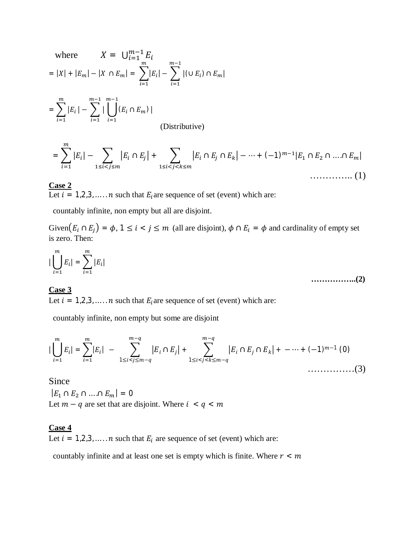where 
$$
X = \bigcup_{i=1}^{m-1} E_i
$$
  
=  $|X| + |E_m| - |X \cap E_m| = \sum_{i=1}^{m} |E_i| - \sum_{i=1}^{m-1} |(\cup E_i) \cap E_m|$ 

$$
= \sum_{i=1}^{m} |E_i| - \sum_{i=1}^{m-1} |\bigcup_{i=1}^{m-1} (E_i \cap E_m)|
$$
 (Distributive)

$$
= \sum_{i=1}^{m} |E_i| - \sum_{1 \le i < j \le m} |E_i \cap E_j| + \sum_{1 \le i < j < k \le m} |E_i \cap E_j \cap E_k| - \dots + (-1)^{m-1} |E_1 \cap E_2 \cap \dots \cap E_m| \tag{1}
$$

### **Case 2**

Let  $i = 1, 2, 3, \dots$  and that  $E_i$  are sequence of set (event) which are:

countably infinite, non empty but all are disjoint.

Given $(E_i \cap E_j) = \phi$ ,  $1 \le i < j \le m$  (all are disjoint),  $\phi \cap E_i = \phi$  and cardinality of empty set is zero. Then:

$$
|\bigcup_{i=1}^{m} E_i| = \sum_{i=1}^{m} |E_i|
$$
 (2)

## **Case 3**

Let  $i = 1, 2, 3, \dots$  and that  $E_i$  are sequence of set (event) which are:

countably infinite, non empty but some are disjoint

$$
|\bigcup_{i=1}^{m} E_i| = \sum_{i=1}^{m} |E_i| - \sum_{1 \le i < j \le m-q}^{m-q} |E_i \cap E_j| + \sum_{1 \le i < j < k \le m-q}^{m-q} |E_i \cap E_j \cap E_k| + \cdots + (-1)^{m-1} (0) \tag{3}
$$

Since

 $|E_1 \cap E_2 \cap ... \cap E_m| = 0$ Let  $m - q$  are set that are disjoint. Where  $i < q < m$ 

#### **Case 4**

Let  $i = 1, 2, 3, \dots, n$  such that  $E_i$  are sequence of set (event) which are:

countably infinite and at least one set is empty which is finite. Where  $r < m$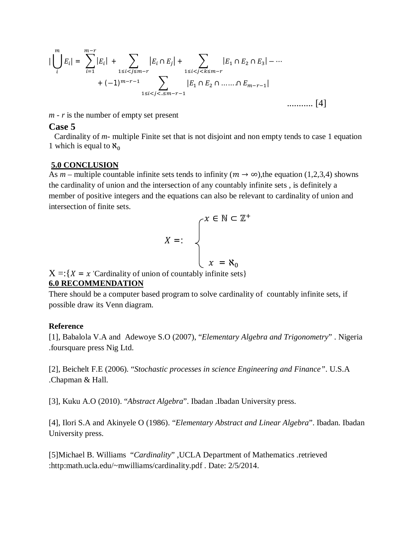$$
\left| \bigcup_{i}^{m} E_{i} \right| = \sum_{i=1}^{m-r} |E_{i}| + \sum_{1 \leq i < j \leq m-r} |E_{i} \cap E_{j}| + \sum_{1 \leq i < j < k \leq m-r} |E_{1} \cap E_{2} \cap E_{3}| - \cdots + (-1)^{m-r-1} \sum_{1 \leq i < j < \ldots \leq m-r-1} |E_{1} \cap E_{2} \cap \ldots \cap E_{m-r-1}| \qquad \qquad \ldots \ldots \ldots \tag{4}
$$

*m - r* is the number of empty set present

#### **Case 5**

Cardinality of *m*- multiple Finite set that is not disjoint and non empty tends to case 1 equation 1 which is equal to  $\aleph_0$ 

#### **5.0 CONCLUSION**

As *m* – multiple countable infinite sets tends to infinity  $(m \rightarrow \infty)$ , the equation (1,2,3,4) showns the cardinality of union and the intersection of any countably infinite sets , is definitely a member of positive integers and the equations can also be relevant to cardinality of union and intersection of finite sets.

$$
X =: \qquad \begin{cases} x \in \mathbb{N} \subset \mathbb{Z}^+ \\ \\ x = \aleph_0 \end{cases}
$$

 $X = \{X = x \text{ 'Cardinality of union of countably infinite sets}\}\$ 

#### **6.0 RECOMMENDATION**

There should be a computer based program to solve cardinality of countably infinite sets, if possible draw its Venn diagram.

#### **Reference**

[1], Babalola V.A and Adewoye S.O (2007), "*Elementary Algebra and Trigonometry*" . Nigeria .foursquare press Nig Ltd.

[2], Beichelt F.E (2006). "*Stochastic processes in science Engineering and Finance"*. U.S.A .Chapman & Hall.

[3], Kuku A.O (2010). "*Abstract Algebra*". Ibadan .Ibadan University press.

[4], Ilori S.A and Akinyele O (1986). "*Elementary Abstract and Linear Algebra*". Ibadan. Ibadan University press.

[5]Michael B. Williams "*Cardinality*" ,UCLA Department of Mathematics .retrieved :http:math.ucla.edu/~mwilliams/cardinality.pdf . Date: 2/5/2014.